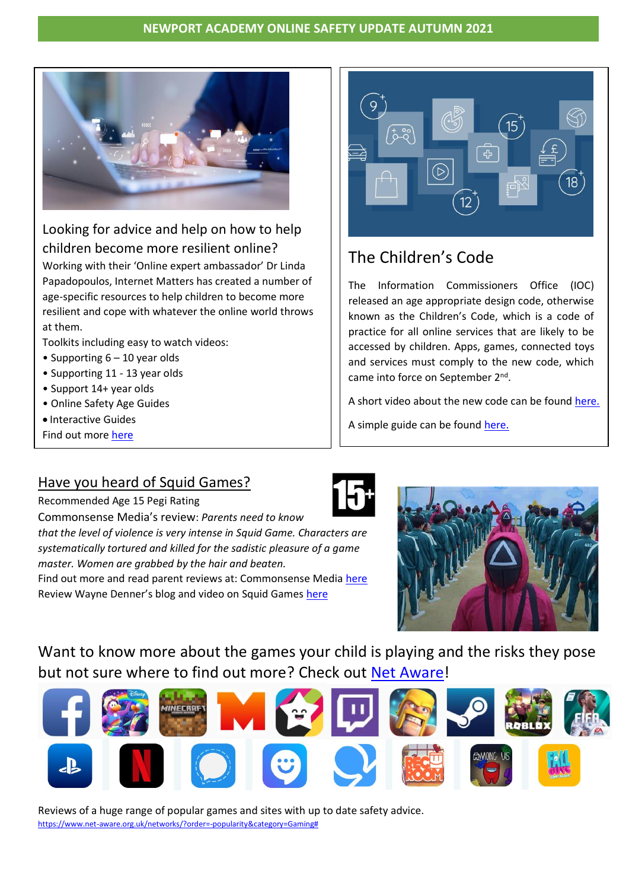

# Looking for advice and help on how to help children become more resilient online?

Working with their 'Online expert ambassador' Dr Linda Papadopoulos, Internet Matters has created a number of age-specific resources to help children to become more resilient and cope with whatever the online world throws at them.

Toolkits including easy to watch videos:

- Supporting  $6 10$  year olds
- Supporting 11 13 year olds
- Support 14+ year olds
- Online Safety Age Guides
- Interactive Guides

Find out more [here](https://www.internetmatters.org/resources/digital-resilience-toolkit/)



# The Children's Code

The Information Commissioners Office (IOC) released an age appropriate design code, otherwise known as the Children's Code, which is a code of practice for all online services that are likely to be accessed by children. Apps, games, connected toys and services must comply to the new code, which came into force on September 2<sup>nd</sup>.

A short video about the new code can be found [here.](https://parentzone.org.uk/article/childrens-code-what-you-need-know)

A simple guide can be found [here.](https://ico.org.uk/media/2618180/the-childrens-code-an-introduction-for-small-businesses.pdf#:~:text=The%20Children%27s%20Code%20came%20into%20force%20on%202,this%20document%20is%20a%20good%20place%20to%20start.)

# Have you heard of Squid Games?



Recommended Age 15 Pegi Rating Commonsense Media's review: *Parents need to know that the level of violence is very intense in Squid Game. Characters are systematically tortured and killed for the sadistic pleasure of a game master. Women are grabbed by the hair and beaten.* Find out more and read parent reviews at: Commonsense Media [here](https://www.commonsensemedia.org/tv-reviews/squid-game) Review Wayne Denner's blog and video on Squid Games [here](https://www.waynedenner.com/blog/squid-game-highlights-young-peoples-accessibility-to-violent-content-online/?utm_source=newsletter&utm_medium=email&utm_campaign=squid_game_warning_to_parents&utm_term=2021-10-13)



Want to know more about the games your child is playing and the risks they pose but not sure where to find out more? Check out [Net Aware!](https://www.net-aware.org.uk/networks/?order=-popularity&category=Gaming)



Reviews of a huge range of popular games and sites with up to date safety advice. [https://www.net-aware.org.uk/networks/?order=-popularity&category=Gaming#](https://www.net-aware.org.uk/networks/?order=-popularity&category=Gaming)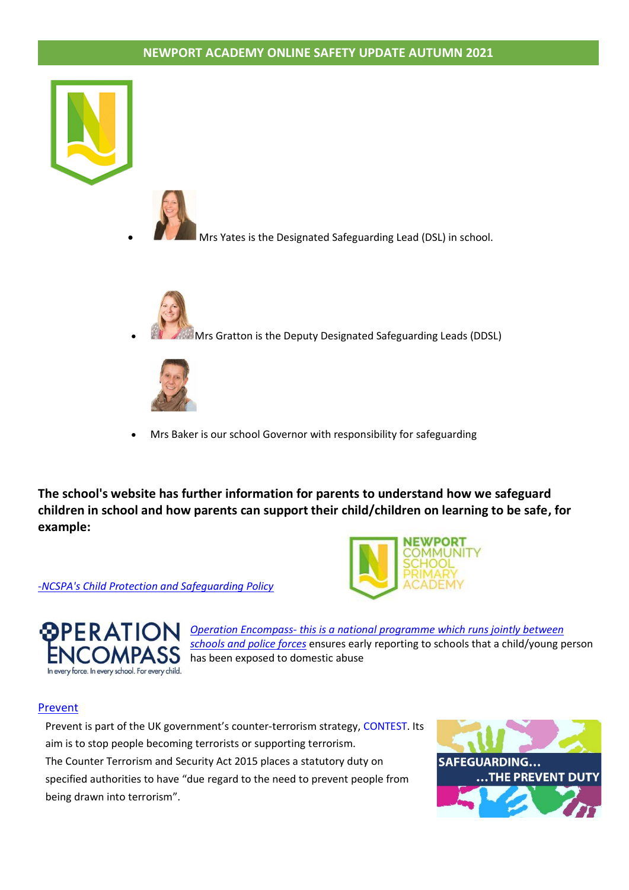



• Mrs Yates is the Designated Safeguarding Lead (DSL) in school.



**• Mrs Gratton is the Deputy Designated Safeguarding Leads (DDSL)** 



• Mrs Baker is our school Governor with responsibility for safeguarding

**The school's website has further information for parents to understand how we safeguard children in school and how parents can support their child/children on learning to be safe, for example:**



-*NCSPA's Child Protection and [Safeguarding](https://www.newportprimary.devon.sch.uk/safeguarding) Policy*



*Operation [Encompass-](https://4087aeb3-1ab3-464d-b5eb-b652ecad8c3b.filesusr.com/ugd/8c1913_8b68e5c83be447869cfc7ead33a52d02.pdf) this is a national programme which runs jointly between [schools](https://4087aeb3-1ab3-464d-b5eb-b652ecad8c3b.filesusr.com/ugd/8c1913_8b68e5c83be447869cfc7ead33a52d02.pdf) and police forces* ensures early reporting to schools that a child/young person **ICOMPASS** has been exposed to domestic abuse

#### [Prevent](https://www.gov.uk/government/publications/protecting-children-from-radicalisation-the-prevent-duty)

Prevent is part of the UK government's counter-terrorism strategy, [CONTEST.](https://www.gov.uk/government/collections/contest) Its aim is to stop people becoming terrorists or supporting terrorism. The Counter Terrorism and Security Act 2015 places a statutory duty on specified authorities to have "due regard to the need to prevent people from being drawn into terrorism".

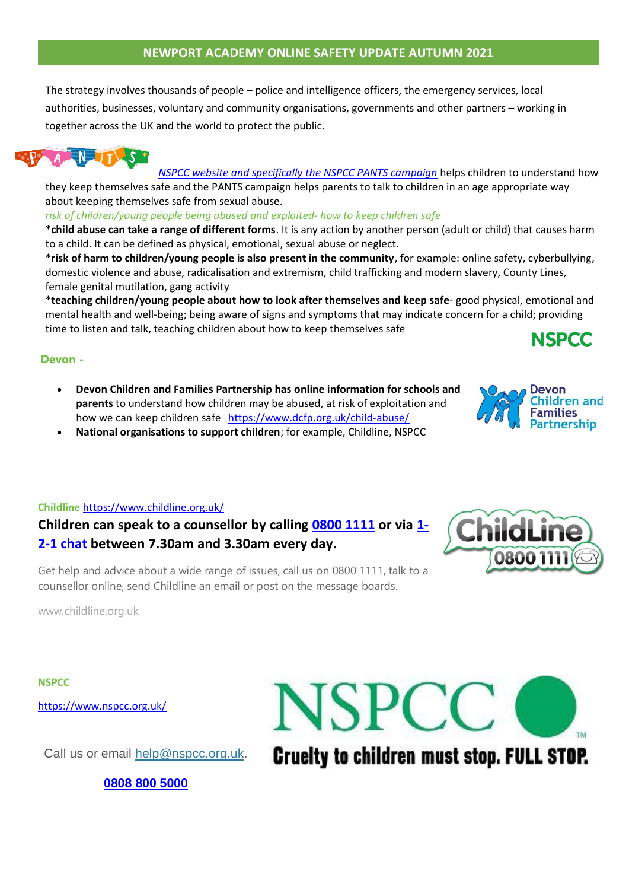The strategy involves thousands of people – police and intelligence officers, the emergency services, local authorities, businesses, voluntary and community organisations, governments and other partners – working in together across the UK and the world to protect the public.



*NSPCC website and [specifically](https://4087aeb3-1ab3-464d-b5eb-b652ecad8c3b.filesusr.com/ugd/8c1913_5584dfc70c484fdfa697659fea98d26f.pdf) the NSPCC PANTS campaign* helps children to understand how

they keep themselves safe and the PANTS campaign helps parents to talk to children in an age appropriate way about keeping themselves safe from sexual abuse.

#### *risk of children/young people being abused and exploited- how to keep children safe*

\***child abuse can take a range of different forms**. It is any action by another person (adult or child) that causes harm to a child. It can be defined as physical, emotional, sexual abuse or neglect.

\***risk of harm to children/young people is also present in the community**, for example: online safety, cyberbullying, domestic violence and abuse, radicalisation and extremism, child trafficking and modern slavery, County Lines, female genital mutilation, gang activity

\***teaching children/young people about how to look after themselves and keep safe**- good physical, emotional and mental health and well-being; being aware of signs and symptoms that may indicate concern for a child; providing time to listen and talk, teaching children about how to keep themselves safe **NSPCC** 

### **Devon -**

- **Devon Children and Families Partnership has online information for schools and parents** to understand how children may be abused, at risk of exploitation and how we can keep children safe <https://www.dcfp.org.uk/child-abuse/>
- **National organisations to support children**; for example, Childline, NSPCC

#### **Childline** <https://www.childline.org.uk/>

**Children can speak to a counsellor by calling [0800 1111](tel:08001111) or via [1-](https://www.childline.org.uk/get-support/1-2-1-counsellor-chat/) [2-1 chat](https://www.childline.org.uk/get-support/1-2-1-counsellor-chat/) between 7.30am and 3.30am every day.**



Get help and advice about a wide range of issues, call us on 0800 1111, talk to a counsellor online, send Childline an email or post on the message boards.

www.childline.org.uk

**NSPCC**

<https://www.nspcc.org.uk/>

Call us or email [help@nspcc.org.uk.](mailto:help@nspcc.org.uk)

**[0808](tel:08088005000) 800 5000**